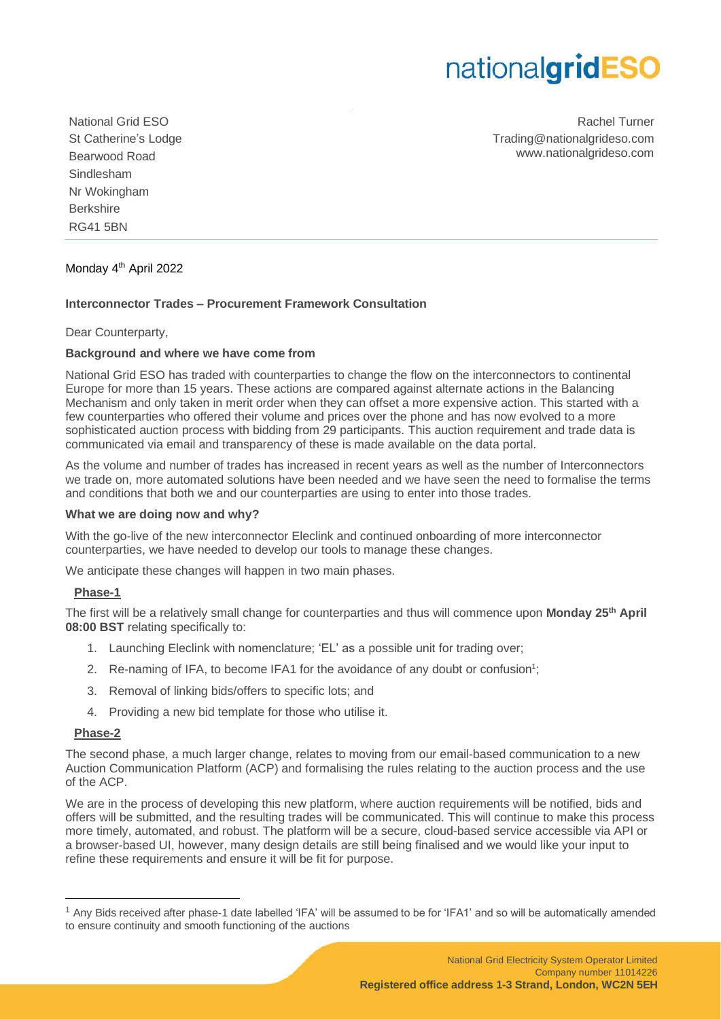# nationalgridESO

National Grid ESO St Catherine's Lodge Bearwood Road Sindlesham Nr Wokingham Berkshire RG41 5BN

Rachel Turner Trading@nationalgrideso.com www.nationalgrideso.com

# Monday 4<sup>th</sup> April 2022

### **Interconnector Trades – Procurement Framework Consultation**

Dear Counterparty,

#### **Background and where we have come from**

National Grid ESO has traded with counterparties to change the flow on the interconnectors to continental Europe for more than 15 years. These actions are compared against alternate actions in the Balancing Mechanism and only taken in merit order when they can offset a more expensive action. This started with a few counterparties who offered their volume and prices over the phone and has now evolved to a more sophisticated auction process with bidding from 29 participants. This auction requirement and trade data is communicated via email and transparency of these is made available on the data portal.

As the volume and number of trades has increased in recent years as well as the number of Interconnectors we trade on, more automated solutions have been needed and we have seen the need to formalise the terms and conditions that both we and our counterparties are using to enter into those trades.

## **What we are doing now and why?**

With the go-live of the new interconnector Eleclink and continued onboarding of more interconnector counterparties, we have needed to develop our tools to manage these changes.

We anticipate these changes will happen in two main phases.

#### **Phase-1**

The first will be a relatively small change for counterparties and thus will commence upon **Monday 25th April 08:00 BST** relating specifically to:

- 1. Launching Eleclink with nomenclature; 'EL' as a possible unit for trading over;
- 2. Re-naming of IFA, to become IFA1 for the avoidance of any doubt or confusion<sup>1</sup>;
- 3. Removal of linking bids/offers to specific lots; and
- 4. Providing a new bid template for those who utilise it.

#### **Phase-2**

The second phase, a much larger change, relates to moving from our email-based communication to a new Auction Communication Platform (ACP) and formalising the rules relating to the auction process and the use of the ACP.

We are in the process of developing this new platform, where auction requirements will be notified, bids and offers will be submitted, and the resulting trades will be communicated. This will continue to make this process more timely, automated, and robust. The platform will be a secure, cloud-based service accessible via API or a browser-based UI, however, many design details are still being finalised and we would like your input to refine these requirements and ensure it will be fit for purpose.

<sup>1</sup> Any Bids received after phase-1 date labelled 'IFA' will be assumed to be for 'IFA1' and so will be automatically amended to ensure continuity and smooth functioning of the auctions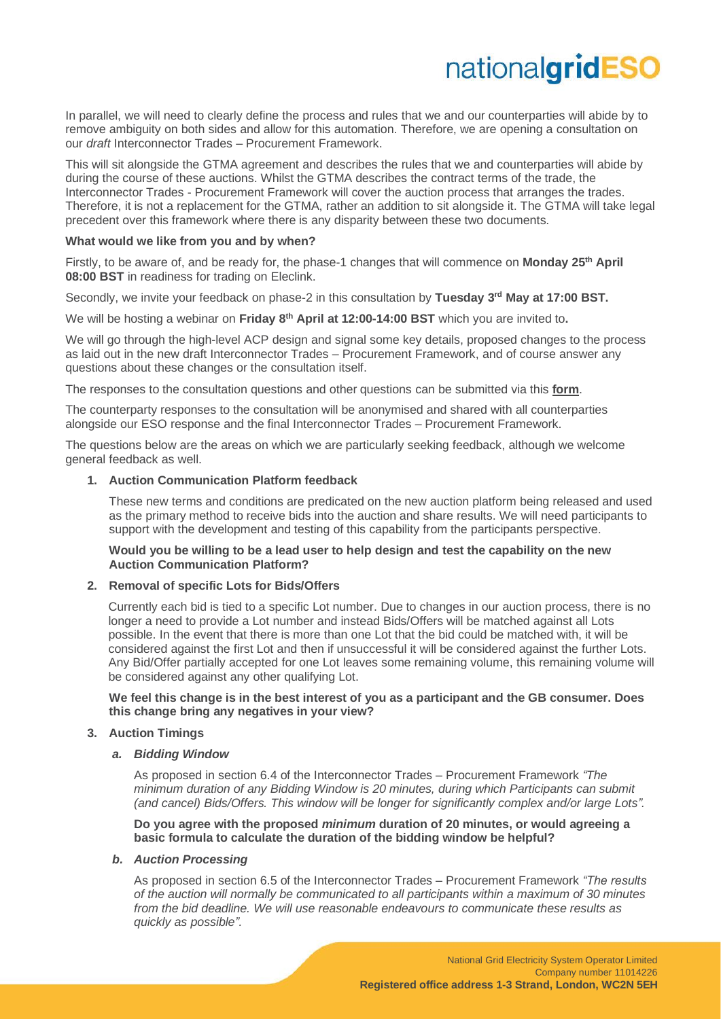# nationalgridESC

In parallel, we will need to clearly define the process and rules that we and our counterparties will abide by to remove ambiguity on both sides and allow for this automation. Therefore, we are opening a consultation on our *draft* Interconnector Trades – Procurement Framework.

This will sit alongside the GTMA agreement and describes the rules that we and counterparties will abide by during the course of these auctions. Whilst the GTMA describes the contract terms of the trade, the Interconnector Trades - Procurement Framework will cover the auction process that arranges the trades. Therefore, it is not a replacement for the GTMA, rather an addition to sit alongside it. The GTMA will take legal precedent over this framework where there is any disparity between these two documents.

#### **What would we like from you and by when?**

Firstly, to be aware of, and be ready for, the phase-1 changes that will commence on **Monday 25th April 08:00 BST** in readiness for trading on Eleclink.

Secondly, we invite your feedback on phase-2 in this consultation by **Tuesday 3 rd May at 17:00 BST.**

We will be hosting a webinar on Friday 8<sup>th</sup> April at 12:00-14:00 BST which you are invited to.

We will go through the high-level ACP design and signal some key details, proposed changes to the process as laid out in the new draft Interconnector Trades – Procurement Framework, and of course answer any questions about these changes or the consultation itself.

The responses to the consultation questions and other questions can be submitted via this **[form](https://forms.office.com/r/qSAgUMfFbz)**.

The counterparty responses to the consultation will be anonymised and shared with all counterparties alongside our ESO response and the final Interconnector Trades – Procurement Framework.

The questions below are the areas on which we are particularly seeking feedback, although we welcome general feedback as well.

#### **1. Auction Communication Platform feedback**

These new terms and conditions are predicated on the new auction platform being released and used as the primary method to receive bids into the auction and share results. We will need participants to support with the development and testing of this capability from the participants perspective.

#### **Would you be willing to be a lead user to help design and test the capability on the new Auction Communication Platform?**

#### **2. Removal of specific Lots for Bids/Offers**

Currently each bid is tied to a specific Lot number. Due to changes in our auction process, there is no longer a need to provide a Lot number and instead Bids/Offers will be matched against all Lots possible. In the event that there is more than one Lot that the bid could be matched with, it will be considered against the first Lot and then if unsuccessful it will be considered against the further Lots. Any Bid/Offer partially accepted for one Lot leaves some remaining volume, this remaining volume will be considered against any other qualifying Lot.

**We feel this change is in the best interest of you as a participant and the GB consumer. Does this change bring any negatives in your view?**

#### **3. Auction Timings**

#### *a. Bidding Window*

As proposed in section 6.4 of the Interconnector Trades – Procurement Framework *"The minimum duration of any Bidding Window is 20 minutes, during which Participants can submit (and cancel) Bids/Offers. This window will be longer for significantly complex and/or large Lots".*

**Do you agree with the proposed** *minimum* **duration of 20 minutes, or would agreeing a basic formula to calculate the duration of the bidding window be helpful?**

#### *b. Auction Processing*

As proposed in section 6.5 of the Interconnector Trades – Procurement Framework *"The results of the auction will normally be communicated to all participants within a maximum of 30 minutes from the bid deadline. We will use reasonable endeavours to communicate these results as quickly as possible".*